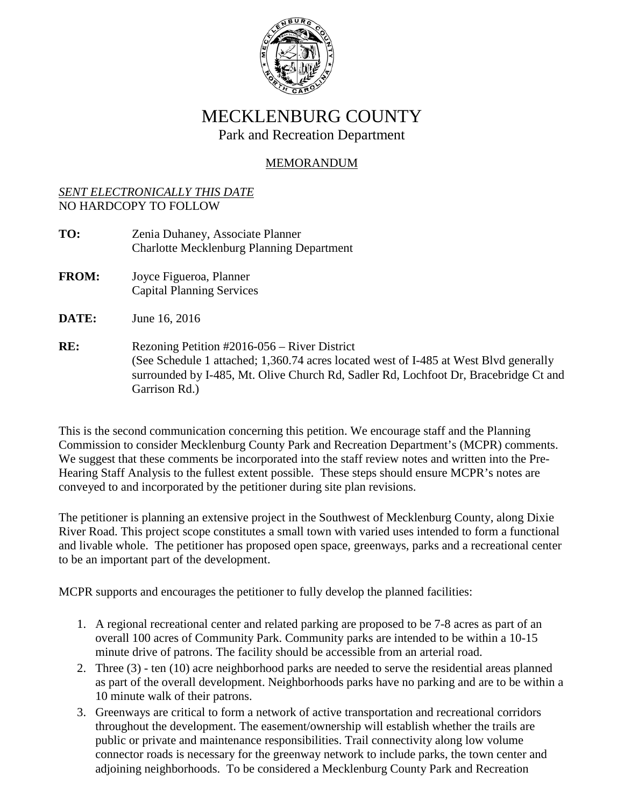

# MECKLENBURG COUNTY Park and Recreation Department

## MEMORANDUM

## *SENT ELECTRONICALLY THIS DATE* NO HARDCOPY TO FOLLOW

- **TO:** Zenia Duhaney, Associate Planner Charlotte Mecklenburg Planning Department
- **FROM:** Joyce Figueroa, Planner Capital Planning Services

**DATE:** June 16, 2016

RE: Rezoning Petition #2016-056 – River District (See Schedule 1 attached; 1,360.74 acres located west of I-485 at West Blvd generally surrounded by I-485, Mt. Olive Church Rd, Sadler Rd, Lochfoot Dr, Bracebridge Ct and Garrison Rd.)

This is the second communication concerning this petition. We encourage staff and the Planning Commission to consider Mecklenburg County Park and Recreation Department's (MCPR) comments. We suggest that these comments be incorporated into the staff review notes and written into the Pre-Hearing Staff Analysis to the fullest extent possible. These steps should ensure MCPR's notes are conveyed to and incorporated by the petitioner during site plan revisions.

The petitioner is planning an extensive project in the Southwest of Mecklenburg County, along Dixie River Road. This project scope constitutes a small town with varied uses intended to form a functional and livable whole. The petitioner has proposed open space, greenways, parks and a recreational center to be an important part of the development.

MCPR supports and encourages the petitioner to fully develop the planned facilities:

- 1. A regional recreational center and related parking are proposed to be 7-8 acres as part of an overall 100 acres of Community Park. Community parks are intended to be within a 10-15 minute drive of patrons. The facility should be accessible from an arterial road.
- 2. Three (3) ten (10) acre neighborhood parks are needed to serve the residential areas planned as part of the overall development. Neighborhoods parks have no parking and are to be within a 10 minute walk of their patrons.
- 3. Greenways are critical to form a network of active transportation and recreational corridors throughout the development. The easement/ownership will establish whether the trails are public or private and maintenance responsibilities. Trail connectivity along low volume connector roads is necessary for the greenway network to include parks, the town center and adjoining neighborhoods. To be considered a Mecklenburg County Park and Recreation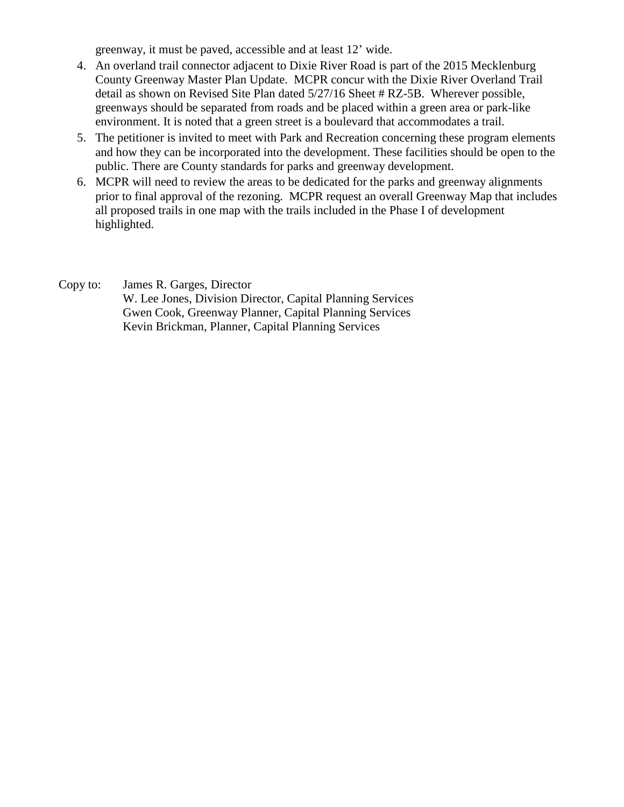greenway, it must be paved, accessible and at least 12' wide.

- 4. An overland trail connector adjacent to Dixie River Road is part of the 2015 Mecklenburg County Greenway Master Plan Update. MCPR concur with the Dixie River Overland Trail detail as shown on Revised Site Plan dated 5/27/16 Sheet # RZ-5B. Wherever possible, greenways should be separated from roads and be placed within a green area or park-like environment. It is noted that a green street is a boulevard that accommodates a trail.
- 5. The petitioner is invited to meet with Park and Recreation concerning these program elements and how they can be incorporated into the development. These facilities should be open to the public. There are County standards for parks and greenway development.
- 6. MCPR will need to review the areas to be dedicated for the parks and greenway alignments prior to final approval of the rezoning. MCPR request an overall Greenway Map that includes all proposed trails in one map with the trails included in the Phase I of development highlighted.
- Copy to: James R. Garges, Director W. Lee Jones, Division Director, Capital Planning Services Gwen Cook, Greenway Planner, Capital Planning Services Kevin Brickman, Planner, Capital Planning Services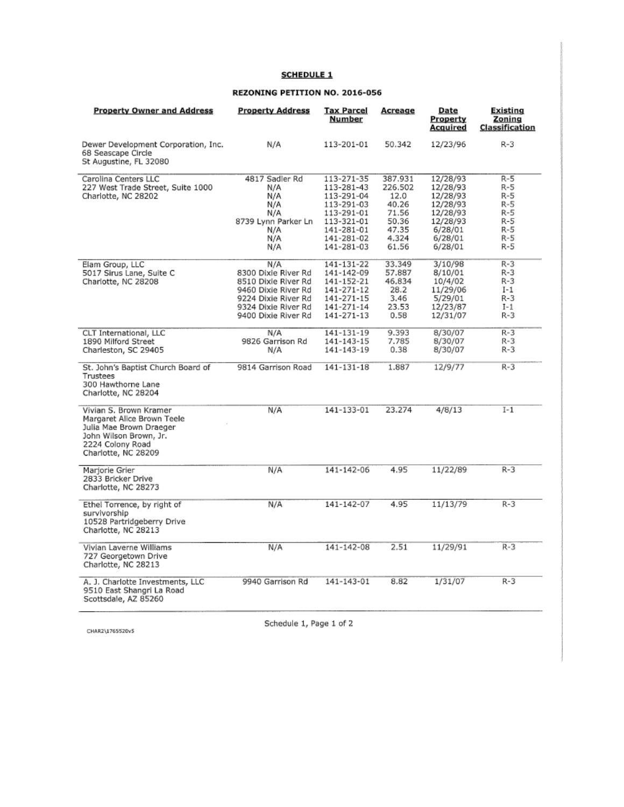### **SCHEDULE 1**

#### REZONING PETITION NO. 2016-056

| <b>Property Owner and Address</b>                                                                                                                    | <b>Property Address</b> | <b>Tax Parcel</b><br>Number | Acreage | Date<br>Property<br>Acquired | Existing<br>Zoning<br><b>Classification</b> |
|------------------------------------------------------------------------------------------------------------------------------------------------------|-------------------------|-----------------------------|---------|------------------------------|---------------------------------------------|
| Dewer Development Corporation, Inc.<br>68 Seascape Circle<br>St Augustine, FL 32080                                                                  | N/A                     | 113-201-01                  | 50.342  | 12/23/96                     | $R-3$                                       |
| Carolina Centers LLC                                                                                                                                 | 4817 Sadler Rd          | 113-271-35                  | 387.931 | 12/28/93                     | R-5                                         |
| 227 West Trade Street, Suite 1000                                                                                                                    | N/A                     | 113-281-43                  | 226.502 | 12/28/93                     | R-5                                         |
| Charlotte, NC 28202                                                                                                                                  | N/A                     | 113-291-04                  | 12.0    | 12/28/93                     | $R-5$                                       |
|                                                                                                                                                      | N/A                     | 113-291-03                  | 40.26   | 12/28/93                     | R-5                                         |
|                                                                                                                                                      | N/A                     | 113-291-01                  | 71.56   | 12/28/93                     | R-5                                         |
|                                                                                                                                                      | 8739 Lynn Parker Ln     | 113-321-01                  | 50.36   | 12/28/93                     | $R-5$                                       |
|                                                                                                                                                      | N/A                     | 141-281-01                  | 47.35   | 6/28/01                      | R-5                                         |
|                                                                                                                                                      | N/A                     | 141-281-02                  | 4.324   | 6/28/01                      | R-5                                         |
|                                                                                                                                                      | N/A                     | 141-281-03                  | 61.56   | 6/28/01                      | R-5                                         |
| Elam Group, LLC                                                                                                                                      | N/A                     | 141-131-22                  | 33.349  | 3/10/98                      | $R-3$                                       |
| 5017 Sirus Lane, Suite C                                                                                                                             | 8300 Dixie River Rd     | 141-142-09                  | 57.887  | 8/10/01                      | R-3                                         |
| Charlotte, NC 28208                                                                                                                                  | 8510 Dixie River Rd     | 141-152-21                  | 46.834  | 10/4/02                      | R-3                                         |
|                                                                                                                                                      | 9460 Dixie River Rd     | 141-271-12                  | 28.2    | 11/29/06                     | $I-1$                                       |
|                                                                                                                                                      | 9224 Dixie River Rd     | 141-271-15                  | 3.46    | 5/29/01                      | $R-3$                                       |
|                                                                                                                                                      | 9324 Dixie River Rd     | 141-271-14                  | 23.53   | 12/23/87                     | $I-1$                                       |
|                                                                                                                                                      | 9400 Dixie River Rd     | 141-271-13                  | 0.58    | 12/31/07                     | R-3                                         |
| CLT International, LLC                                                                                                                               | N/A                     | 141-131-19                  | 9.393   | 8/30/07                      | R-3                                         |
| 1890 Milford Street                                                                                                                                  | 9826 Garrison Rd        | 141-143-15                  | 7.785   | 8/30/07                      | R-3                                         |
| Charleston, SC 29405                                                                                                                                 | N/A                     | 141-143-19                  | 0.38    | 8/30/07                      | R-3                                         |
| St. John's Baptist Church Board of<br>Trustees<br>300 Hawthorne Lane<br>Charlotte, NC 28204                                                          | 9814 Garrison Road      | 141-131-18                  | 1.887   | 12/9/77                      | $R-3$                                       |
| Vivian S. Brown Kramer<br>Margaret Alice Brown Teele<br>Julia Mae Brown Draeger<br>John Wilson Brown, Jr.<br>2224 Colony Road<br>Charlotte, NC 28209 | N/A                     | 141-133-01                  | 23.274  | 4/8/13                       | $I-1$                                       |
| Mariorie Grier<br>2833 Bricker Drive<br>Charlotte, NC 28273                                                                                          | N/A                     | 141-142-06                  | 4.95    | 11/22/89                     | $R-3$                                       |
| Ethel Torrence, by right of<br>survivorship<br>10528 Partridgeberry Drive<br>Charlotte, NC 28213                                                     | N/A                     | 141-142-07                  | 4.95    | 11/13/79                     | R-3                                         |
| Vivian Laverne Williams<br>727 Georgetown Drive<br>Charlotte, NC 28213                                                                               | N/A                     | 141-142-08                  | 2.51    | 11/29/91                     | R-3                                         |
| A. J. Charlotte Investments, LLC<br>9510 East Shangri La Road<br>Scottsdale, AZ 85260                                                                | 9940 Garrison Rd        | 141-143-01                  | 8.82    | 1/31/07                      | R-3                                         |

CHAR2\1765520v5

Schedule 1, Page 1 of 2